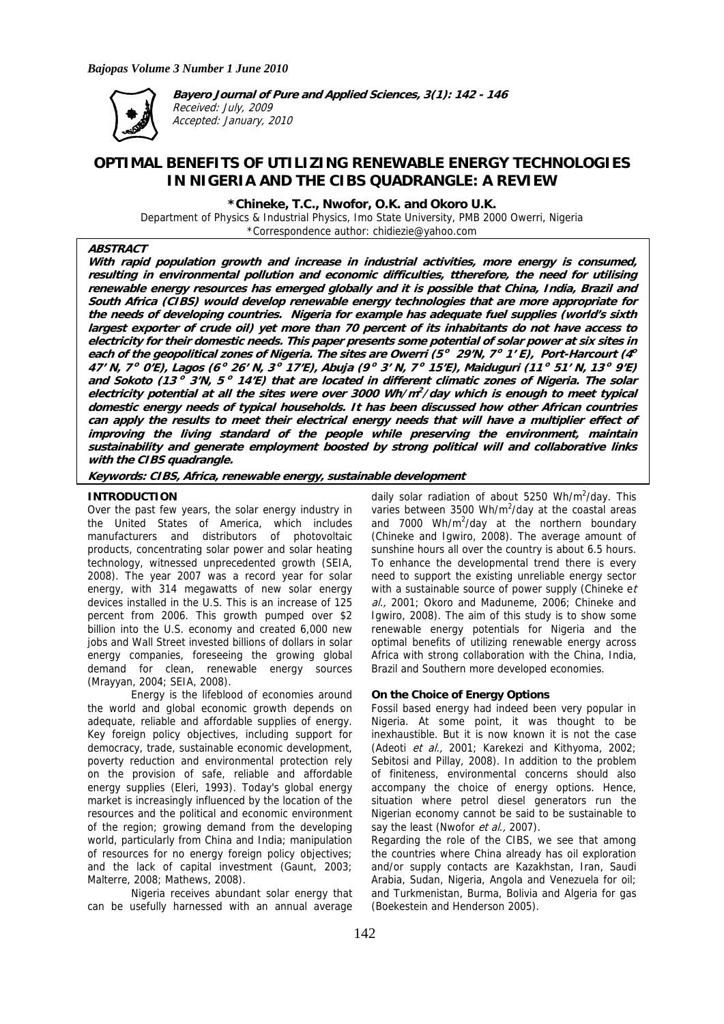

**Bayero Journal of Pure and Applied Sciences, 3(1): 142 - 146**  Received: July, 2009 Accepted: January, 2010

# **OPTIMAL BENEFITS OF UTILIZING RENEWABLE ENERGY TECHNOLOGIES IN NIGERIA AND THE CIBS QUADRANGLE: A REVIEW**

**\*Chineke, T.C., Nwofor, O.K. and Okoro U.K.** 

Department of Physics & Industrial Physics, Imo State University, PMB 2000 Owerri, Nigeria \*Correspondence author: chidiezie@yahoo.com

# **ABSTRACT**

**With rapid population growth and increase in industrial activities, more energy is consumed, resulting in environmental pollution and economic difficulties, ttherefore, the need for utilising renewable energy resources has emerged globally and it is possible that China, India, Brazil and South Africa (CIBS) would develop renewable energy technologies that are more appropriate for the needs of developing countries. Nigeria for example has adequate fuel supplies (world's sixth largest exporter of crude oil) yet more than 70 percent of its inhabitants do not have access to electricity for their domestic needs. This paper presents some potential of solar power at six sites in each of the geopolitical zones of Nigeria. The sites are Owerri (5<sup>o</sup> 29'N, 7<sup>o</sup> 1' E), Port-Harcourt (4<sup>o</sup> 47' N, 7<sup>o</sup> 0'E), Lagos (6<sup>o</sup> 26' N, 3<sup>o</sup> 17'E), Abuja (9<sup>o</sup> 3' N, 7<sup>o</sup> 15'E), Maiduguri (11<sup>o</sup> 51' N, 13<sup>o</sup> 9'E) and Sokoto (13<sup>o</sup> 3'N, 5<sup>o</sup> 14'E) that are located in different climatic zones of Nigeria. The solar electricity potential at all the sites were over 3000 Wh/m<sup>2</sup> /day which is enough to meet typical domestic energy needs of typical households. It has been discussed how other African countries can apply the results to meet their electrical energy needs that will have a multiplier effect of improving the living standard of the people while preserving the environment, maintain sustainability and generate employment boosted by strong political will and collaborative links with the CIBS quadrangle.** 

**Keywords: CIBS, Africa, renewable energy, sustainable development** 

# **INTRODUCTION**

Over the past few years, the solar energy industry in the United States of America, which includes manufacturers and distributors of photovoltaic products, concentrating solar power and solar heating technology, witnessed unprecedented growth (SEIA, 2008). The year 2007 was a record year for solar energy, with 314 megawatts of new solar energy devices installed in the U.S. This is an increase of 125 percent from 2006. This growth pumped over \$2 billion into the U.S. economy and created 6,000 new jobs and Wall Street invested billions of dollars in solar energy companies, foreseeing the growing global demand for clean, renewable energy sources (Mrayyan, 2004; SEIA, 2008).

 Energy is the lifeblood of economies around the world and global economic growth depends on adequate, reliable and affordable supplies of energy. Key foreign policy objectives, including support for democracy, trade, sustainable economic development, poverty reduction and environmental protection rely on the provision of safe, reliable and affordable energy supplies (Eleri, 1993). Today's global energy market is increasingly influenced by the location of the resources and the political and economic environment of the region; growing demand from the developing world, particularly from China and India; manipulation of resources for no energy foreign policy objectives; and the lack of capital investment (Gaunt, 2003; Malterre, 2008; Mathews, 2008).

Nigeria receives abundant solar energy that can be usefully harnessed with an annual average

daily solar radiation of about 5250 Wh/m<sup>2</sup>/day. This varies between 3500 Wh/m<sup>2</sup>/day at the coastal areas and  $7000 \, \text{Wh/m}^2/\text{day}$  at the northern boundary (Chineke and Igwiro, 2008). The average amount of sunshine hours all over the country is about 6.5 hours. To enhance the developmental trend there is every need to support the existing unreliable energy sector with a sustainable source of power supply (Chineke et al., 2001; Okoro and Maduneme, 2006; Chineke and Igwiro, 2008). The aim of this study is to show some renewable energy potentials for Nigeria and the optimal benefits of utilizing renewable energy across Africa with strong collaboration with the China, India, Brazil and Southern more developed economies.

# **On the Choice of Energy Options**

Fossil based energy had indeed been very popular in Nigeria. At some point, it was thought to be inexhaustible. But it is now known it is not the case (Adeoti et al., 2001; Karekezi and Kithyoma, 2002; Sebitosi and Pillay, 2008). In addition to the problem of finiteness, environmental concerns should also accompany the choice of energy options. Hence, situation where petrol diesel generators run the Nigerian economy cannot be said to be sustainable to say the least (Nwofor et al., 2007).

Regarding the role of the CIBS, we see that among the countries where China already has oil exploration and/or supply contacts are Kazakhstan, Iran, Saudi Arabia, Sudan, Nigeria, Angola and Venezuela for oil; and Turkmenistan, Burma, Bolivia and Algeria for gas (Boekestein and Henderson 2005).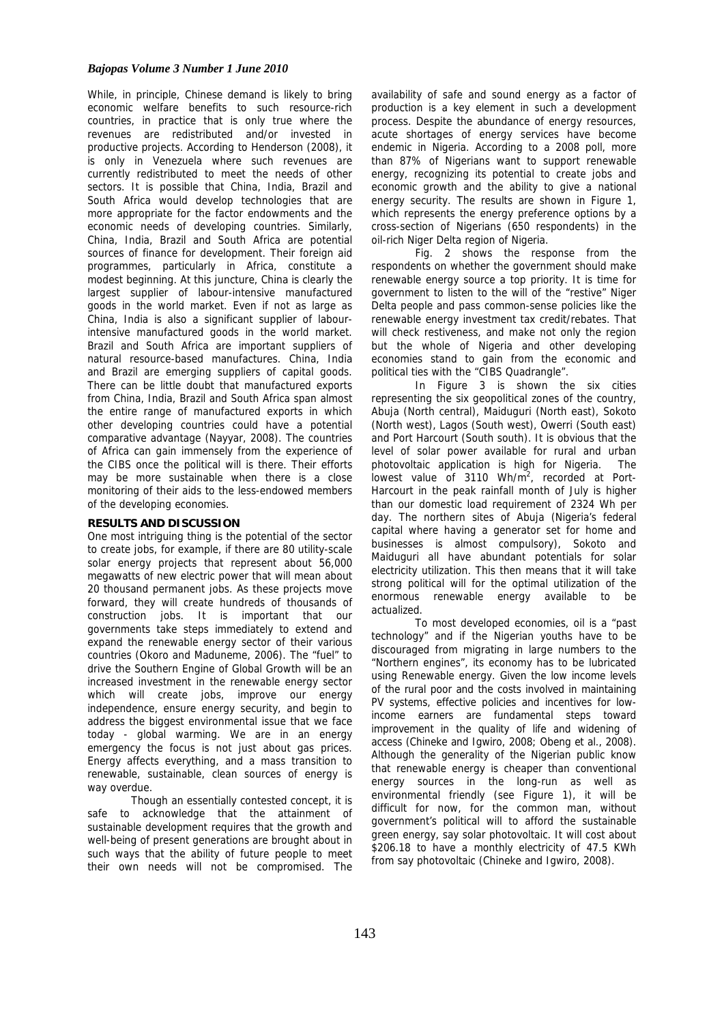## *Bajopas Volume 3 Number 1 June 2010*

While, in principle, Chinese demand is likely to bring economic welfare benefits to such resource-rich countries, in practice that is only true where the revenues are redistributed and/or invested in productive projects. According to Henderson (2008), it is only in Venezuela where such revenues are currently redistributed to meet the needs of other sectors. It is possible that China, India, Brazil and South Africa would develop technologies that are more appropriate for the factor endowments and the economic needs of developing countries. Similarly, China, India, Brazil and South Africa are potential sources of finance for development. Their foreign aid programmes, particularly in Africa, constitute a modest beginning. At this juncture, China is clearly the largest supplier of labour-intensive manufactured goods in the world market. Even if not as large as China, India is also a significant supplier of labourintensive manufactured goods in the world market. Brazil and South Africa are important suppliers of natural resource-based manufactures. China, India and Brazil are emerging suppliers of capital goods. There can be little doubt that manufactured exports from China, India, Brazil and South Africa span almost the entire range of manufactured exports in which other developing countries could have a potential comparative advantage (Nayyar, 2008). The countries of Africa can gain immensely from the experience of the CIBS once the political will is there. Their efforts may be more sustainable when there is a close monitoring of their aids to the less-endowed members of the developing economies.

#### **RESULTS AND DISCUSSION**

One most intriguing thing is the potential of the sector to create jobs, for example, if there are 80 utility-scale solar energy projects that represent about 56,000 megawatts of new electric power that will mean about 20 thousand permanent jobs. As these projects move forward, they will create hundreds of thousands of construction jobs. It is important that our governments take steps immediately to extend and expand the renewable energy sector of their various countries (Okoro and Maduneme, 2006). The "fuel" to drive the Southern Engine of Global Growth will be an increased investment in the renewable energy sector which will create jobs, improve our energy independence, ensure energy security, and begin to address the biggest environmental issue that we face today - global warming. We are in an energy emergency the focus is not just about gas prices. Energy affects everything, and a mass transition to renewable, sustainable, clean sources of energy is way overdue.

Though an essentially contested concept, it is safe to acknowledge that the attainment of sustainable development requires that the growth and well-being of present generations are brought about in such ways that the ability of future people to meet their own needs will not be compromised. The

availability of safe and sound energy as a factor of production is a key element in such a development process. Despite the abundance of energy resources, acute shortages of energy services have become endemic in Nigeria. According to a 2008 poll, more than 87% of Nigerians want to support renewable energy, recognizing its potential to create jobs and economic growth and the ability to give a national energy security. The results are shown in Figure 1, which represents the energy preference options by a cross-section of Nigerians (650 respondents) in the oil-rich Niger Delta region of Nigeria.

Fig. 2 shows the response from the respondents on whether the government should make renewable energy source a top priority. It is time for government to listen to the will of the "restive" Niger Delta people and pass common-sense policies like the renewable energy investment tax credit/rebates. That will check restiveness, and make not only the region but the whole of Nigeria and other developing economies stand to gain from the economic and political ties with the "CIBS Quadrangle".

In Figure 3 is shown the six cities representing the six geopolitical zones of the country, Abuja (North central), Maiduguri (North east), Sokoto (North west), Lagos (South west), Owerri (South east) and Port Harcourt (South south). It is obvious that the level of solar power available for rural and urban photovoltaic application is high for Nigeria. The lowest value of  $3110$  Wh/m<sup>2</sup>, recorded at Port-Harcourt in the peak rainfall month of July is higher than our domestic load requirement of 2324 Wh per day. The northern sites of Abuja (Nigeria's federal capital where having a generator set for home and businesses is almost compulsory), Sokoto and Maiduguri all have abundant potentials for solar electricity utilization. This then means that it will take strong political will for the optimal utilization of the enormous renewable energy available to be actualized.

To most developed economies, oil is a "past technology" and if the Nigerian youths have to be discouraged from migrating in large numbers to the "Northern engines", its economy has to be lubricated using Renewable energy. Given the low income levels of the rural poor and the costs involved in maintaining PV systems, effective policies and incentives for lowincome earners are fundamental steps toward improvement in the quality of life and widening of access (Chineke and Igwiro, 2008; Obeng et al., 2008). Although the generality of the Nigerian public know that renewable energy is cheaper than conventional energy sources in the long-run as well as environmental friendly (see Figure 1), it will be difficult for now, for the common man, without government's political will to afford the sustainable green energy, say solar photovoltaic. It will cost about \$206.18 to have a monthly electricity of 47.5 KWh from say photovoltaic (Chineke and Igwiro, 2008).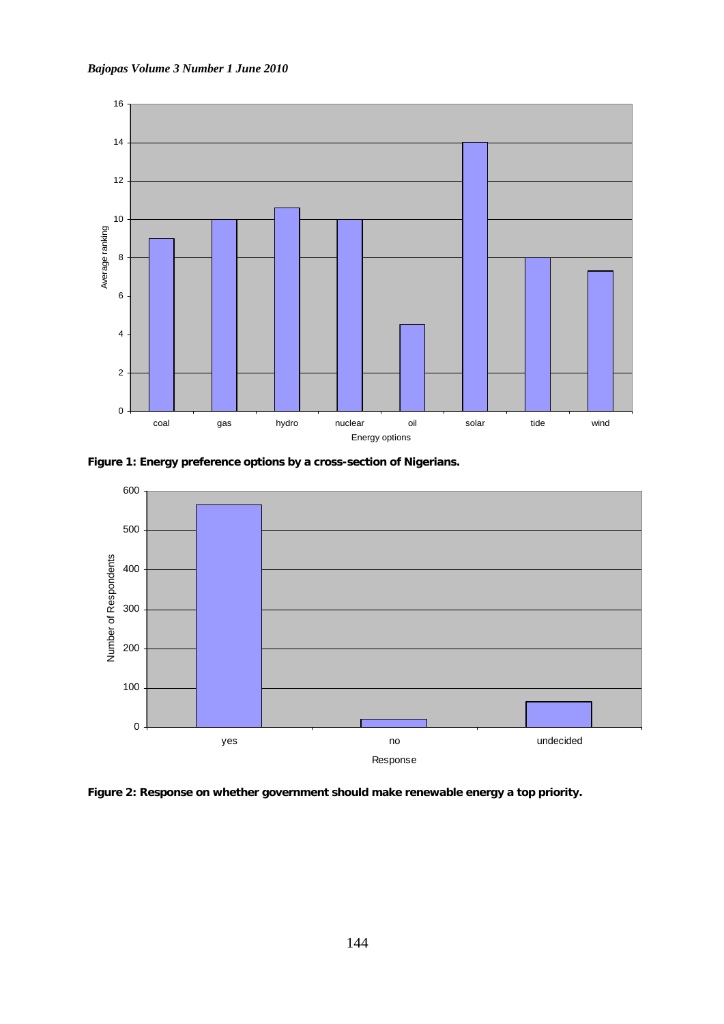



**Figure 1: Energy preference options by a cross-section of Nigerians.** 



**Figure 2: Response on whether government should make renewable energy a top priority.**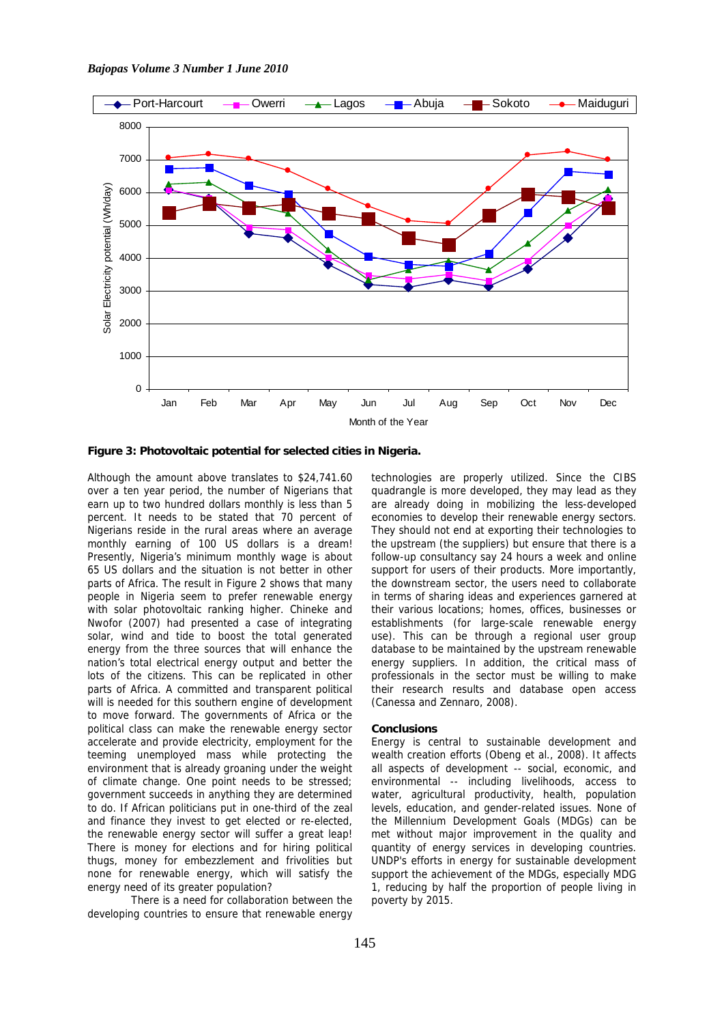

**Figure 3: Photovoltaic potential for selected cities in Nigeria.** 

Although the amount above translates to \$24,741.60 over a ten year period, the number of Nigerians that earn up to two hundred dollars monthly is less than 5 percent. It needs to be stated that 70 percent of Nigerians reside in the rural areas where an average monthly earning of 100 US dollars is a dream! Presently, Nigeria's minimum monthly wage is about 65 US dollars and the situation is not better in other parts of Africa. The result in Figure 2 shows that many people in Nigeria seem to prefer renewable energy with solar photovoltaic ranking higher. Chineke and Nwofor (2007) had presented a case of integrating solar, wind and tide to boost the total generated energy from the three sources that will enhance the nation's total electrical energy output and better the lots of the citizens. This can be replicated in other parts of Africa. A committed and transparent political will is needed for this southern engine of development to move forward. The governments of Africa or the political class can make the renewable energy sector accelerate and provide electricity, employment for the teeming unemployed mass while protecting the environment that is already groaning under the weight of climate change. One point needs to be stressed; government succeeds in anything they are determined to do. If African politicians put in one-third of the zeal and finance they invest to get elected or re-elected, the renewable energy sector will suffer a great leap! There is money for elections and for hiring political thugs, money for embezzlement and frivolities but none for renewable energy, which will satisfy the energy need of its greater population?

 There is a need for collaboration between the developing countries to ensure that renewable energy

technologies are properly utilized. Since the CIBS quadrangle is more developed, they may lead as they are already doing in mobilizing the less-developed economies to develop their renewable energy sectors. They should not end at exporting their technologies to the upstream (the suppliers) but ensure that there is a follow-up consultancy say 24 hours a week and online support for users of their products. More importantly, the downstream sector, the users need to collaborate in terms of sharing ideas and experiences garnered at their various locations; homes, offices, businesses or establishments (for large-scale renewable energy use). This can be through a regional user group database to be maintained by the upstream renewable energy suppliers. In addition, the critical mass of professionals in the sector must be willing to make their research results and database open access (Canessa and Zennaro, 2008).

## **Conclusions**

Energy is central to sustainable development and wealth creation efforts (Obeng et al., 2008). It affects all aspects of development -- social, economic, and environmental -- including livelihoods, access to water, agricultural productivity, health, population levels, education, and gender-related issues. None of the Millennium Development Goals (MDGs) can be met without major improvement in the quality and quantity of energy services in developing countries. UNDP's efforts in energy for sustainable development support the achievement of the MDGs, especially MDG 1, reducing by half the proportion of people living in poverty by 2015.